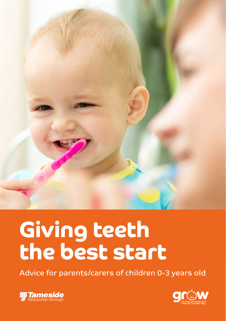

# Giving teeth the best start

Advice for parents/carers of children 0-3 years old



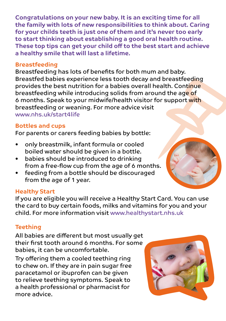Congratulations on your new baby. It is an exciting time for all the family with lots of new responsibilities to think about. Caring for your childs teeth is just one of them and it's never too early to start thinking about establishing a good oral health routine. These top tips can get your child off to the best start and achieve a healthy smile that will last a lifetime.

#### Breastfeeding

Breastfeeding has lots of benefits for both mum and baby. Breastfed babies experience less tooth decay and breastfeeding provides the best nutrition for a babies overall health. Continue breastfeeding while introducing solids from around the age of 6 months. Speak to your midwife/health visitor for support with breastfeeding or weaning. For more advice visit www.nhs.uk/start4life

## Bottles and cups

For parents or carers feeding babies by bottle:

- only breastmilk, infant formula or cooled boiled water should be given in a bottle.
- babies should be introduced to drinking from a free-flow cup from the age of 6 months.
- feeding from a bottle should be discouraged from the age of 1 year.

#### Healthy Start

If you are eligible you will receive a Healthy Start Card. You can use the card to buy certain foods, milks and vitamins for you and your child. For more information visit www.healthystart.nhs.uk

# **Teething**

All babies are different but most usually get their first tooth around 6 months. For some babies, it can be uncomfortable.

Try offering them a cooled teething ring to chew on. If they are in pain sugar free paracetamol or ibuprofen can be given to relieve teething symptoms. Speak to a health professional or pharmacist for more advice.

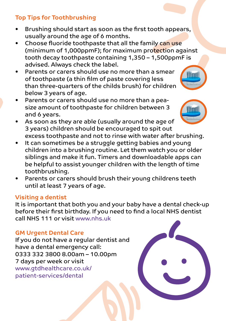## Top Tips for Toothbrushing

- Brushing should start as soon as the first tooth appears, usually around the age of 6 months.
- Choose fluoride toothpaste that all the family can use (minimum of 1,000ppmF); for maximum protection against tooth decay toothpaste containing 1,350 – 1,500ppmF is advised. Always check the label.
- Parents or carers should use no more than a smear of toothpaste (a thin film of paste covering less than three-quarters of the childs brush) for children below 3 years of age.
- Parents or carers should use no more than a peasize amount of toothpaste for children between 3 and 6 years.
- As soon as they are able (usually around the age of 3 years) children should be encouraged to spit out excess toothpaste and not to rinse with water after brushing.
- It can sometimes be a struggle getting babies and young children into a brushing routine. Let them watch you or older siblings and make it fun. Timers and downloadable apps can be helpful to assist younger children with the length of time toothbrushing.
- Parents or carers should brush their young childrens teeth until at least 7 years of age.

#### Visiting a dentist

It is important that both you and your baby have a dental check-up before their first birthday. If you need to find a local NHS dentist call NHS 111 or visit www.nhs.uk

## GM Urgent Dental Care

If you do not have a regular dentist and have a dental emergency call: 0333 332 3800 8.00am – 10.00pm 7 days per week or visit www.gtdhealthcare.co.uk/ patient-services/dental